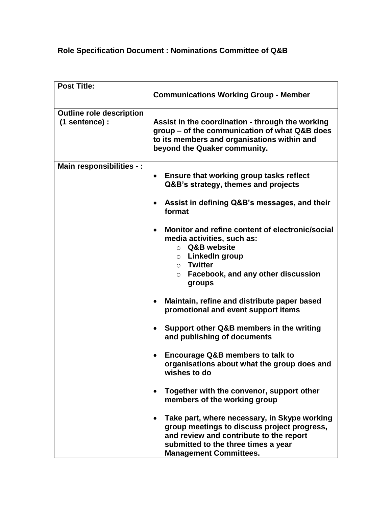## **Role Specification Document : Nominations Committee of Q&B**

| <b>Post Title:</b>                                | <b>Communications Working Group - Member</b>                                                                                                                                                                                 |
|---------------------------------------------------|------------------------------------------------------------------------------------------------------------------------------------------------------------------------------------------------------------------------------|
| <b>Outline role description</b><br>(1 sentence) : | Assist in the coordination - through the working<br>group - of the communication of what Q&B does<br>to its members and organisations within and<br>beyond the Quaker community.                                             |
| Main responsibilities - :                         | <b>Ensure that working group tasks reflect</b><br>$\bullet$<br>Q&B's strategy, themes and projects<br>Assist in defining Q&B's messages, and their<br>format                                                                 |
|                                                   | Monitor and refine content of electronic/social<br>$\bullet$<br>media activities, such as:<br>Q&B website<br>$\circ$<br>$\circ$ LinkedIn group<br>$\circ$ Twitter<br>Facebook, and any other discussion<br>$\circ$<br>groups |
|                                                   | Maintain, refine and distribute paper based<br>promotional and event support items                                                                                                                                           |
|                                                   | Support other Q&B members in the writing<br>and publishing of documents                                                                                                                                                      |
|                                                   | <b>Encourage Q&amp;B members to talk to</b><br>organisations about what the group does and<br>wishes to do                                                                                                                   |
|                                                   | Together with the convenor, support other<br>members of the working group                                                                                                                                                    |
|                                                   | Take part, where necessary, in Skype working<br>group meetings to discuss project progress,<br>and review and contribute to the report<br>submitted to the three times a year<br><b>Management Committees.</b>               |